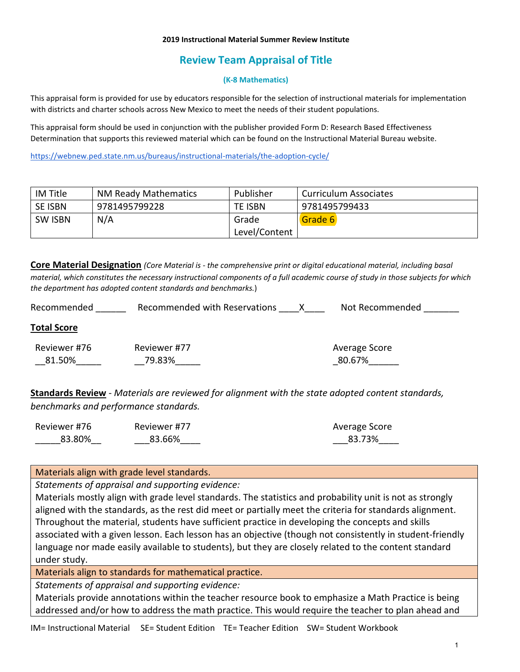#### **2019 Instructional Material Summer Review Institute**

# **Review Team Appraisal of Title**

#### **(K-8 Mathematics)**

This appraisal form is provided for use by educators responsible for the selection of instructional materials for implementation with districts and charter schools across New Mexico to meet the needs of their student populations.

This appraisal form should be used in conjunction with the publisher provided Form D: Research Based Effectiveness Determination that supports this reviewed material which can be found on the Instructional Material Bureau website.

<https://webnew.ped.state.nm.us/bureaus/instructional-materials/the-adoption-cycle/>

| IM Title       | <b>NM Ready Mathematics</b> | Publisher      | Curriculum Associates |
|----------------|-----------------------------|----------------|-----------------------|
| <b>SE ISBN</b> | 9781495799228               | <b>TE ISBN</b> | 9781495799433         |
| <b>SW ISBN</b> | N/A                         | Grade          | Grade 6               |
|                |                             | Level/Content  |                       |

**Core Material Designation** *(Core Material is - the comprehensive print or digital educational material, including basal material, which constitutes the necessary instructional components of a full academic course of study in those subjects for which the department has adopted content standards and benchmarks.*)

| Recommended            | Recommended with Reservations<br>X. | Not Recommended         |
|------------------------|-------------------------------------|-------------------------|
| <b>Total Score</b>     |                                     |                         |
| Reviewer #76<br>81.50% | Reviewer #77<br>79.83%              | Average Score<br>80.67% |

**Standards Review** - *Materials are reviewed for alignment with the state adopted content standards, benchmarks and performance standards.*

| Reviewer #76 | Reviewer #77 | Average Score |
|--------------|--------------|---------------|
| 83.80%       | 83.66%       | 83.73%        |

Materials align with grade level standards.

*Statements of appraisal and supporting evidence:*

Materials mostly align with grade level standards. The statistics and probability unit is not as strongly aligned with the standards, as the rest did meet or partially meet the criteria for standards alignment. Throughout the material, students have sufficient practice in developing the concepts and skills associated with a given lesson. Each lesson has an objective (though not consistently in student-friendly language nor made easily available to students), but they are closely related to the content standard under study.

Materials align to standards for mathematical practice.

*Statements of appraisal and supporting evidence:*

Materials provide annotations within the teacher resource book to emphasize a Math Practice is being addressed and/or how to address the math practice. This would require the teacher to plan ahead and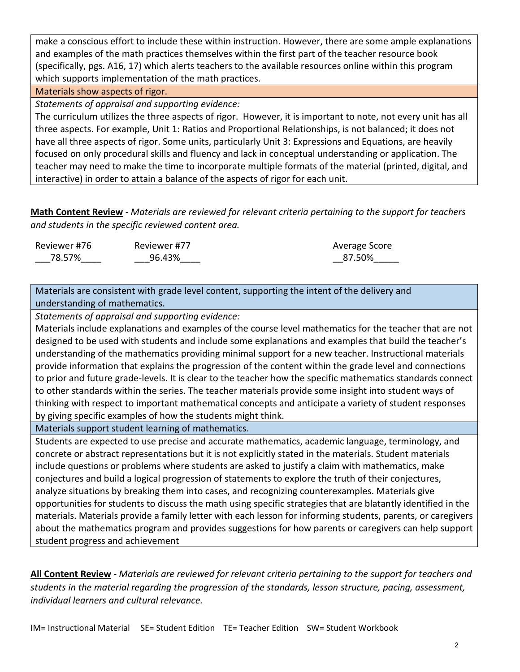make a conscious effort to include these within instruction. However, there are some ample explanations and examples of the math practices themselves within the first part of the teacher resource book (specifically, pgs. A16, 17) which alerts teachers to the available resources online within this program which supports implementation of the math practices.

## Materials show aspects of rigor.

*Statements of appraisal and supporting evidence:*

The curriculum utilizes the three aspects of rigor. However, it is important to note, not every unit has all three aspects. For example, Unit 1: Ratios and Proportional Relationships, is not balanced; it does not have all three aspects of rigor. Some units, particularly Unit 3: Expressions and Equations, are heavily focused on only procedural skills and fluency and lack in conceptual understanding or application. The teacher may need to make the time to incorporate multiple formats of the material (printed, digital, and interactive) in order to attain a balance of the aspects of rigor for each unit.

**Math Content Review** - *Materials are reviewed for relevant criteria pertaining to the support for teachers and students in the specific reviewed content area.*

| Reviewer #76 | Reviewer #77 | Average Score |
|--------------|--------------|---------------|
| 78.57%       | 96.43%       | 87.50%        |

Materials are consistent with grade level content, supporting the intent of the delivery and understanding of mathematics.

*Statements of appraisal and supporting evidence:*

Materials include explanations and examples of the course level mathematics for the teacher that are not designed to be used with students and include some explanations and examples that build the teacher's understanding of the mathematics providing minimal support for a new teacher. Instructional materials provide information that explains the progression of the content within the grade level and connections to prior and future grade-levels. It is clear to the teacher how the specific mathematics standards connect to other standards within the series. The teacher materials provide some insight into student ways of thinking with respect to important mathematical concepts and anticipate a variety of student responses by giving specific examples of how the students might think.

Materials support student learning of mathematics.

Students are expected to use precise and accurate mathematics, academic language, terminology, and concrete or abstract representations but it is not explicitly stated in the materials. Student materials include questions or problems where students are asked to justify a claim with mathematics, make conjectures and build a logical progression of statements to explore the truth of their conjectures, analyze situations by breaking them into cases, and recognizing counterexamples. Materials give opportunities for students to discuss the math using specific strategies that are blatantly identified in the materials. Materials provide a family letter with each lesson for informing students, parents, or caregivers about the mathematics program and provides suggestions for how parents or caregivers can help support student progress and achievement

**All Content Review** - *Materials are reviewed for relevant criteria pertaining to the support for teachers and students in the material regarding the progression of the standards, lesson structure, pacing, assessment, individual learners and cultural relevance.*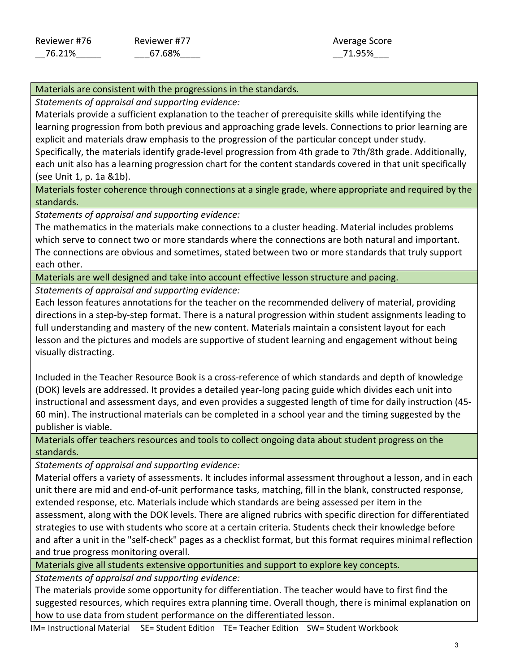## Materials are consistent with the progressions in the standards.

*Statements of appraisal and supporting evidence:*

Materials provide a sufficient explanation to the teacher of prerequisite skills while identifying the learning progression from both previous and approaching grade levels. Connections to prior learning are explicit and materials draw emphasis to the progression of the particular concept under study. Specifically, the materials identify grade-level progression from 4th grade to 7th/8th grade. Additionally, each unit also has a learning progression chart for the content standards covered in that unit specifically (see Unit 1, p. 1a &1b).

Materials foster coherence through connections at a single grade, where appropriate and required by the standards.

*Statements of appraisal and supporting evidence:*

The mathematics in the materials make connections to a cluster heading. Material includes problems which serve to connect two or more standards where the connections are both natural and important. The connections are obvious and sometimes, stated between two or more standards that truly support each other.

Materials are well designed and take into account effective lesson structure and pacing.

*Statements of appraisal and supporting evidence:*

Each lesson features annotations for the teacher on the recommended delivery of material, providing directions in a step-by-step format. There is a natural progression within student assignments leading to full understanding and mastery of the new content. Materials maintain a consistent layout for each lesson and the pictures and models are supportive of student learning and engagement without being visually distracting.

Included in the Teacher Resource Book is a cross-reference of which standards and depth of knowledge (DOK) levels are addressed. It provides a detailed year-long pacing guide which divides each unit into instructional and assessment days, and even provides a suggested length of time for daily instruction (45- 60 min). The instructional materials can be completed in a school year and the timing suggested by the publisher is viable.

Materials offer teachers resources and tools to collect ongoing data about student progress on the standards.

*Statements of appraisal and supporting evidence:*

Material offers a variety of assessments. It includes informal assessment throughout a lesson, and in each unit there are mid and end-of-unit performance tasks, matching, fill in the blank, constructed response, extended response, etc. Materials include which standards are being assessed per item in the assessment, along with the DOK levels. There are aligned rubrics with specific direction for differentiated strategies to use with students who score at a certain criteria. Students check their knowledge before and after a unit in the "self-check" pages as a checklist format, but this format requires minimal reflection and true progress monitoring overall.

Materials give all students extensive opportunities and support to explore key concepts.

*Statements of appraisal and supporting evidence:*

The materials provide some opportunity for differentiation. The teacher would have to first find the suggested resources, which requires extra planning time. Overall though, there is minimal explanation on how to use data from student performance on the differentiated lesson.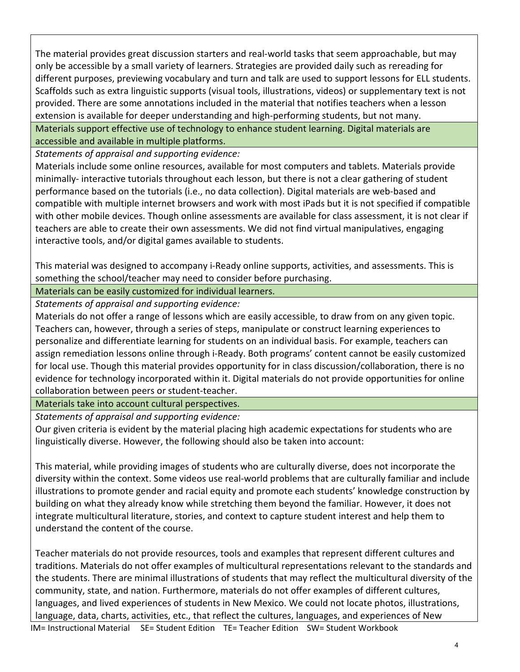The material provides great discussion starters and real-world tasks that seem approachable, but may only be accessible by a small variety of learners. Strategies are provided daily such as rereading for different purposes, previewing vocabulary and turn and talk are used to support lessons for ELL students. Scaffolds such as extra linguistic supports (visual tools, illustrations, videos) or supplementary text is not provided. There are some annotations included in the material that notifies teachers when a lesson extension is available for deeper understanding and high-performing students, but not many.

Materials support effective use of technology to enhance student learning. Digital materials are accessible and available in multiple platforms.

*Statements of appraisal and supporting evidence:*

Materials include some online resources, available for most computers and tablets. Materials provide minimally- interactive tutorials throughout each lesson, but there is not a clear gathering of student performance based on the tutorials (i.e., no data collection). Digital materials are web-based and compatible with multiple internet browsers and work with most iPads but it is not specified if compatible with other mobile devices. Though online assessments are available for class assessment, it is not clear if teachers are able to create their own assessments. We did not find virtual manipulatives, engaging interactive tools, and/or digital games available to students.

This material was designed to accompany i-Ready online supports, activities, and assessments. This is something the school/teacher may need to consider before purchasing.

Materials can be easily customized for individual learners.

*Statements of appraisal and supporting evidence:*

Materials do not offer a range of lessons which are easily accessible, to draw from on any given topic. Teachers can, however, through a series of steps, manipulate or construct learning experiences to personalize and differentiate learning for students on an individual basis. For example, teachers can assign remediation lessons online through i-Ready. Both programs' content cannot be easily customized for local use. Though this material provides opportunity for in class discussion/collaboration, there is no evidence for technology incorporated within it. Digital materials do not provide opportunities for online collaboration between peers or student-teacher.

Materials take into account cultural perspectives.

*Statements of appraisal and supporting evidence:*

Our given criteria is evident by the material placing high academic expectations for students who are linguistically diverse. However, the following should also be taken into account:

This material, while providing images of students who are culturally diverse, does not incorporate the diversity within the context. Some videos use real-world problems that are culturally familiar and include illustrations to promote gender and racial equity and promote each students' knowledge construction by building on what they already know while stretching them beyond the familiar. However, it does not integrate multicultural literature, stories, and context to capture student interest and help them to understand the content of the course.

Teacher materials do not provide resources, tools and examples that represent different cultures and traditions. Materials do not offer examples of multicultural representations relevant to the standards and the students. There are minimal illustrations of students that may reflect the multicultural diversity of the community, state, and nation. Furthermore, materials do not offer examples of different cultures, languages, and lived experiences of students in New Mexico. We could not locate photos, illustrations, language, data, charts, activities, etc., that reflect the cultures, languages, and experiences of New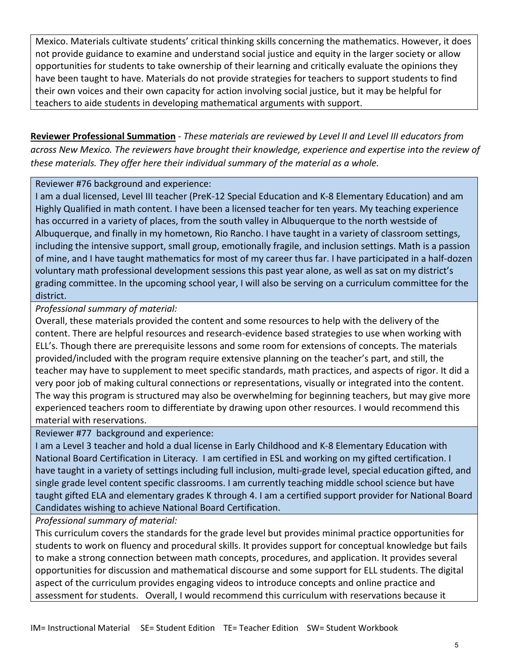Mexico. Materials cultivate students' critical thinking skills concerning the mathematics. However, it does not provide guidance to examine and understand social justice and equity in the larger society or allow opportunities for students to take ownership of their learning and critically evaluate the opinions they have been taught to have. Materials do not provide strategies for teachers to support students to find their own voices and their own capacity for action involving social justice, but it may be helpful for teachers to aide students in developing mathematical arguments with support.

**Reviewer Professional Summation** - *These materials are reviewed by Level II and Level III educators from across New Mexico. The reviewers have brought their knowledge, experience and expertise into the review of these materials. They offer here their individual summary of the material as a whole.* 

## Reviewer #76 background and experience:

I am a dual licensed, Level III teacher (PreK-12 Special Education and K-8 Elementary Education) and am Highly Qualified in math content. I have been a licensed teacher for ten years. My teaching experience has occurred in a variety of places, from the south valley in Albuquerque to the north westside of Albuquerque, and finally in my hometown, Rio Rancho. I have taught in a variety of classroom settings, including the intensive support, small group, emotionally fragile, and inclusion settings. Math is a passion of mine, and I have taught mathematics for most of my career thus far. I have participated in a half-dozen voluntary math professional development sessions this past year alone, as well as sat on my district's grading committee. In the upcoming school year, I will also be serving on a curriculum committee for the district.

## *Professional summary of material:*

Overall, these materials provided the content and some resources to help with the delivery of the content. There are helpful resources and research-evidence based strategies to use when working with ELL's. Though there are prerequisite lessons and some room for extensions of concepts. The materials provided/included with the program require extensive planning on the teacher's part, and still, the teacher may have to supplement to meet specific standards, math practices, and aspects of rigor. It did a very poor job of making cultural connections or representations, visually or integrated into the content. The way this program is structured may also be overwhelming for beginning teachers, but may give more experienced teachers room to differentiate by drawing upon other resources. I would recommend this material with reservations.

Reviewer #77 background and experience:

I am a Level 3 teacher and hold a dual license in Early Childhood and K-8 Elementary Education with National Board Certification in Literacy. I am certified in ESL and working on my gifted certification. I have taught in a variety of settings including full inclusion, multi-grade level, special education gifted, and single grade level content specific classrooms. I am currently teaching middle school science but have taught gifted ELA and elementary grades K through 4. I am a certified support provider for National Board Candidates wishing to achieve National Board Certification.

*Professional summary of material:*

This curriculum covers the standards for the grade level but provides minimal practice opportunities for students to work on fluency and procedural skills. It provides support for conceptual knowledge but fails to make a strong connection between math concepts, procedures, and application. It provides several opportunities for discussion and mathematical discourse and some support for ELL students. The digital aspect of the curriculum provides engaging videos to introduce concepts and online practice and assessment for students. Overall, I would recommend this curriculum with reservations because it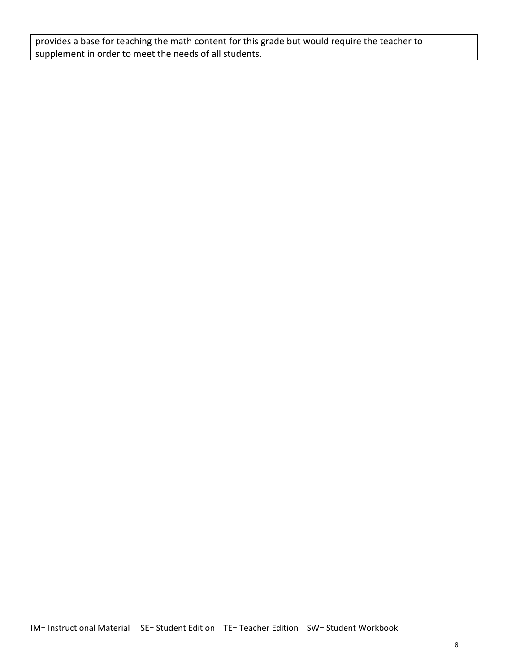provides a base for teaching the math content for this grade but would require the teacher to supplement in order to meet the needs of all students.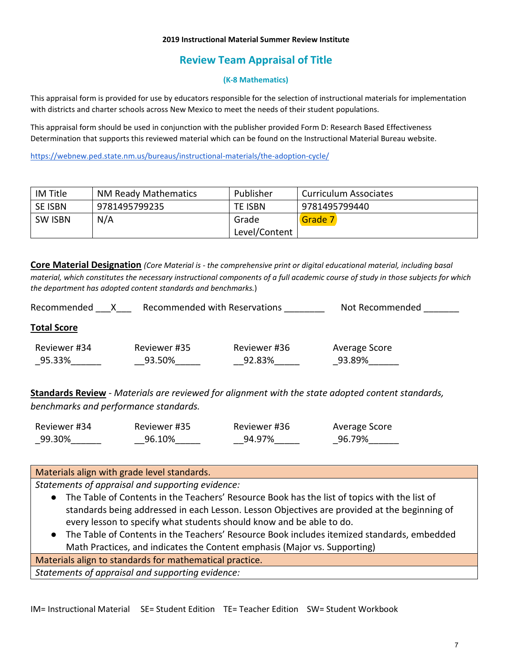#### **2019 Instructional Material Summer Review Institute**

# **Review Team Appraisal of Title**

#### **(K-8 Mathematics)**

This appraisal form is provided for use by educators responsible for the selection of instructional materials for implementation with districts and charter schools across New Mexico to meet the needs of their student populations.

This appraisal form should be used in conjunction with the publisher provided Form D: Research Based Effectiveness Determination that supports this reviewed material which can be found on the Instructional Material Bureau website.

<https://webnew.ped.state.nm.us/bureaus/instructional-materials/the-adoption-cycle/>

| IM Title       | <b>NM Ready Mathematics</b> | Publisher      | Curriculum Associates |
|----------------|-----------------------------|----------------|-----------------------|
| <b>SE ISBN</b> | 9781495799235               | <b>TE ISBN</b> | 9781495799440         |
| <b>SW ISBN</b> | N/A                         | Grade          | Grade 7               |
|                |                             | Level/Content  |                       |

**Core Material Designation** *(Core Material is - the comprehensive print or digital educational material, including basal material, which constitutes the necessary instructional components of a full academic course of study in those subjects for which the department has adopted content standards and benchmarks.*)

| Recommended            | Recommended with Reservations |                        | Not Recommended         |
|------------------------|-------------------------------|------------------------|-------------------------|
| <b>Total Score</b>     |                               |                        |                         |
| Reviewer #34<br>95.33% | Reviewer #35<br>93.50%        | Reviewer #36<br>92.83% | Average Score<br>93.89% |

**Standards Review** - *Materials are reviewed for alignment with the state adopted content standards, benchmarks and performance standards.*

| Reviewer #34 | Reviewer #35 | Reviewer #36 | Average Score |
|--------------|--------------|--------------|---------------|
| 99.30%       | 96.10%       | 94.97%       | 96.79%        |

#### Materials align with grade level standards.

*Statements of appraisal and supporting evidence:*

- The Table of Contents in the Teachers' Resource Book has the list of topics with the list of standards being addressed in each Lesson. Lesson Objectives are provided at the beginning of every lesson to specify what students should know and be able to do.
- The Table of Contents in the Teachers' Resource Book includes itemized standards, embedded Math Practices, and indicates the Content emphasis (Major vs. Supporting)

Materials align to standards for mathematical practice.

*Statements of appraisal and supporting evidence:*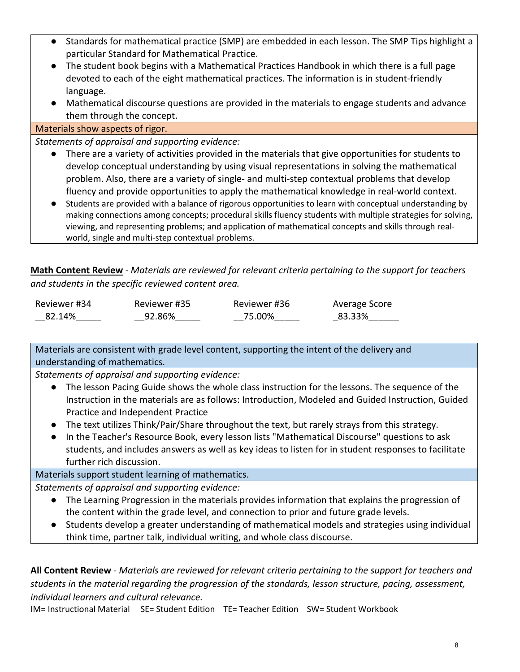- Standards for mathematical practice (SMP) are embedded in each lesson. The SMP Tips highlight a particular Standard for Mathematical Practice.
- The student book begins with a Mathematical Practices Handbook in which there is a full page devoted to each of the eight mathematical practices. The information is in student-friendly language.
- Mathematical discourse questions are provided in the materials to engage students and advance them through the concept.

Materials show aspects of rigor.

*Statements of appraisal and supporting evidence:*

- There are a variety of activities provided in the materials that give opportunities for students to develop conceptual understanding by using visual representations in solving the mathematical problem. Also, there are a variety of single- and multi-step contextual problems that develop fluency and provide opportunities to apply the mathematical knowledge in real-world context.
- Students are provided with a balance of rigorous opportunities to learn with conceptual understanding by making connections among concepts; procedural skills fluency students with multiple strategies for solving, viewing, and representing problems; and application of mathematical concepts and skills through realworld, single and multi-step contextual problems.

**Math Content Review** - *Materials are reviewed for relevant criteria pertaining to the support for teachers and students in the specific reviewed content area.*

| Reviewer #34 | Reviewer #35 | Reviewer #36 | Average Score |
|--------------|--------------|--------------|---------------|
| 82.14%       | 92.86%       | 75.00%       | 83.33%        |

Materials are consistent with grade level content, supporting the intent of the delivery and understanding of mathematics.

*Statements of appraisal and supporting evidence:*

- The lesson Pacing Guide shows the whole class instruction for the lessons. The sequence of the Instruction in the materials are as follows: Introduction, Modeled and Guided Instruction, Guided Practice and Independent Practice
- The text utilizes Think/Pair/Share throughout the text, but rarely strays from this strategy.
- In the Teacher's Resource Book, every lesson lists "Mathematical Discourse" questions to ask students, and includes answers as well as key ideas to listen for in student responses to facilitate further rich discussion.

Materials support student learning of mathematics.

*Statements of appraisal and supporting evidence:*

- The Learning Progression in the materials provides information that explains the progression of the content within the grade level, and connection to prior and future grade levels.
- Students develop a greater understanding of mathematical models and strategies using individual think time, partner talk, individual writing, and whole class discourse.

**All Content Review** - *Materials are reviewed for relevant criteria pertaining to the support for teachers and students in the material regarding the progression of the standards, lesson structure, pacing, assessment, individual learners and cultural relevance.*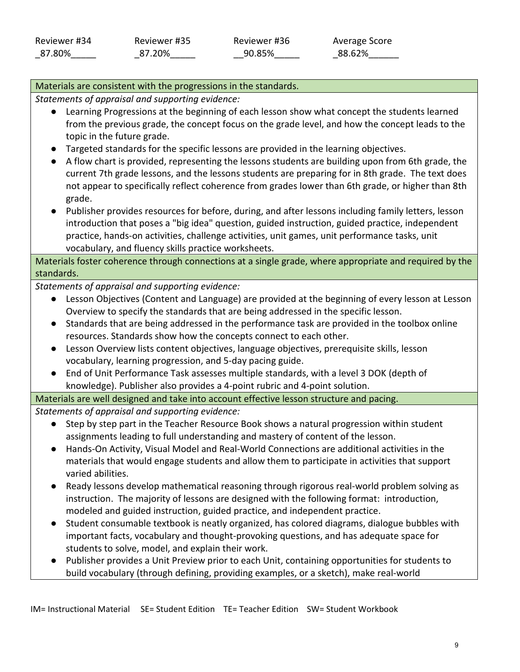## Materials are consistent with the progressions in the standards.

*Statements of appraisal and supporting evidence:*

- Learning Progressions at the beginning of each lesson show what concept the students learned from the previous grade, the concept focus on the grade level, and how the concept leads to the topic in the future grade.
- Targeted standards for the specific lessons are provided in the learning objectives.
- A flow chart is provided, representing the lessons students are building upon from 6th grade, the current 7th grade lessons, and the lessons students are preparing for in 8th grade. The text does not appear to specifically reflect coherence from grades lower than 6th grade, or higher than 8th grade.
- Publisher provides resources for before, during, and after lessons including family letters, lesson introduction that poses a "big idea" question, guided instruction, guided practice, independent practice, hands-on activities, challenge activities, unit games, unit performance tasks, unit vocabulary, and fluency skills practice worksheets.

Materials foster coherence through connections at a single grade, where appropriate and required by the standards.

*Statements of appraisal and supporting evidence:*

- Lesson Objectives (Content and Language) are provided at the beginning of every lesson at Lesson Overview to specify the standards that are being addressed in the specific lesson.
- Standards that are being addressed in the performance task are provided in the toolbox online resources. Standards show how the concepts connect to each other.
- Lesson Overview lists content objectives, language objectives, prerequisite skills, lesson vocabulary, learning progression, and 5-day pacing guide.
- End of Unit Performance Task assesses multiple standards, with a level 3 DOK (depth of knowledge). Publisher also provides a 4-point rubric and 4-point solution.

Materials are well designed and take into account effective lesson structure and pacing.

*Statements of appraisal and supporting evidence:*

- Step by step part in the Teacher Resource Book shows a natural progression within student assignments leading to full understanding and mastery of content of the lesson.
- Hands-On Activity, Visual Model and Real-World Connections are additional activities in the materials that would engage students and allow them to participate in activities that support varied abilities.
- Ready lessons develop mathematical reasoning through rigorous real-world problem solving as instruction. The majority of lessons are designed with the following format: introduction, modeled and guided instruction, guided practice, and independent practice.
- Student consumable textbook is neatly organized, has colored diagrams, dialogue bubbles with important facts, vocabulary and thought-provoking questions, and has adequate space for students to solve, model, and explain their work.
- Publisher provides a Unit Preview prior to each Unit, containing opportunities for students to build vocabulary (through defining, providing examples, or a sketch), make real-world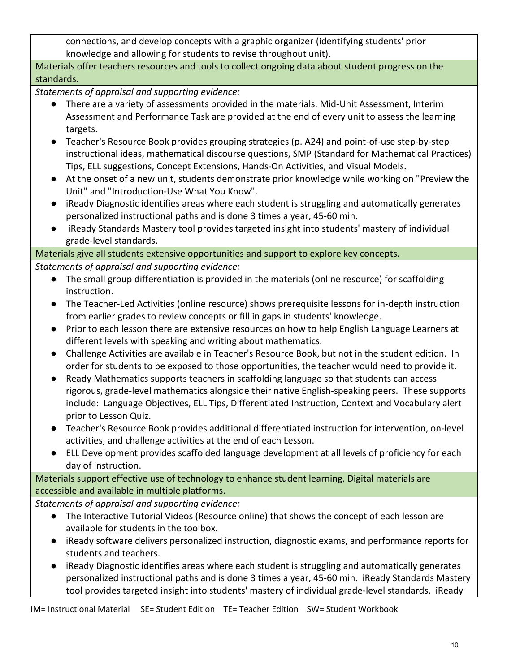connections, and develop concepts with a graphic organizer (identifying students' prior knowledge and allowing for students to revise throughout unit).

Materials offer teachers resources and tools to collect ongoing data about student progress on the standards.

*Statements of appraisal and supporting evidence:*

- There are a variety of assessments provided in the materials. Mid-Unit Assessment, Interim Assessment and Performance Task are provided at the end of every unit to assess the learning targets.
- Teacher's Resource Book provides grouping strategies (p. A24) and point-of-use step-by-step instructional ideas, mathematical discourse questions, SMP (Standard for Mathematical Practices) Tips, ELL suggestions, Concept Extensions, Hands-On Activities, and Visual Models.
- At the onset of a new unit, students demonstrate prior knowledge while working on "Preview the Unit" and "Introduction-Use What You Know".
- iReady Diagnostic identifies areas where each student is struggling and automatically generates personalized instructional paths and is done 3 times a year, 45-60 min.
- iReady Standards Mastery tool provides targeted insight into students' mastery of individual grade-level standards.

Materials give all students extensive opportunities and support to explore key concepts.

*Statements of appraisal and supporting evidence:*

- The small group differentiation is provided in the materials (online resource) for scaffolding instruction.
- The Teacher-Led Activities (online resource) shows prerequisite lessons for in-depth instruction from earlier grades to review concepts or fill in gaps in students' knowledge.
- Prior to each lesson there are extensive resources on how to help English Language Learners at different levels with speaking and writing about mathematics.
- Challenge Activities are available in Teacher's Resource Book, but not in the student edition. In order for students to be exposed to those opportunities, the teacher would need to provide it.
- Ready Mathematics supports teachers in scaffolding language so that students can access rigorous, grade-level mathematics alongside their native English-speaking peers. These supports include: Language Objectives, ELL Tips, Differentiated Instruction, Context and Vocabulary alert prior to Lesson Quiz.
- Teacher's Resource Book provides additional differentiated instruction for intervention, on-level activities, and challenge activities at the end of each Lesson.
- ELL Development provides scaffolded language development at all levels of proficiency for each day of instruction.

Materials support effective use of technology to enhance student learning. Digital materials are accessible and available in multiple platforms.

*Statements of appraisal and supporting evidence:*

- The Interactive Tutorial Videos (Resource online) that shows the concept of each lesson are available for students in the toolbox.
- iReady software delivers personalized instruction, diagnostic exams, and performance reports for students and teachers.
- iReady Diagnostic identifies areas where each student is struggling and automatically generates personalized instructional paths and is done 3 times a year, 45-60 min. iReady Standards Mastery tool provides targeted insight into students' mastery of individual grade-level standards. iReady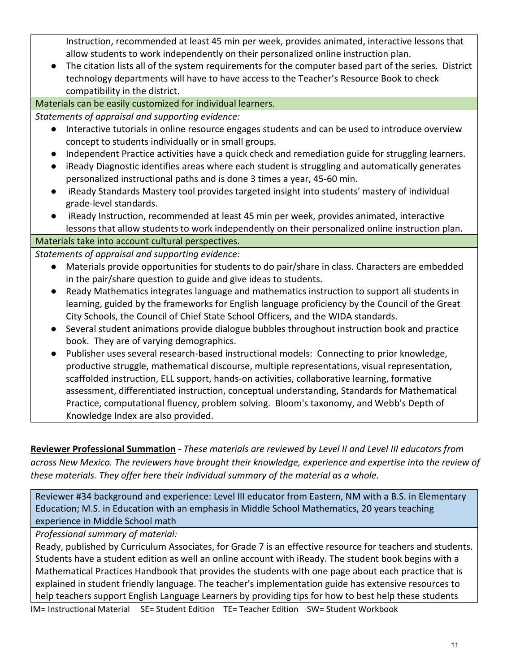Instruction, recommended at least 45 min per week, provides animated, interactive lessons that allow students to work independently on their personalized online instruction plan.

● The citation lists all of the system requirements for the computer based part of the series. District technology departments will have to have access to the Teacher's Resource Book to check compatibility in the district.

Materials can be easily customized for individual learners.

*Statements of appraisal and supporting evidence:*

- Interactive tutorials in online resource engages students and can be used to introduce overview concept to students individually or in small groups.
- Independent Practice activities have a quick check and remediation guide for struggling learners.
- iReady Diagnostic identifies areas where each student is struggling and automatically generates personalized instructional paths and is done 3 times a year, 45-60 min.
- iReady Standards Mastery tool provides targeted insight into students' mastery of individual grade-level standards.
- iReady Instruction, recommended at least 45 min per week, provides animated, interactive lessons that allow students to work independently on their personalized online instruction plan.

## Materials take into account cultural perspectives.

*Statements of appraisal and supporting evidence:*

- Materials provide opportunities for students to do pair/share in class. Characters are embedded in the pair/share question to guide and give ideas to students.
- Ready Mathematics integrates language and mathematics instruction to support all students in learning, guided by the frameworks for English language proficiency by the Council of the Great City Schools, the Council of Chief State School Officers, and the WIDA standards.
- Several student animations provide dialogue bubbles throughout instruction book and practice book. They are of varying demographics.
- Publisher uses several research-based instructional models: Connecting to prior knowledge, productive struggle, mathematical discourse, multiple representations, visual representation, scaffolded instruction, ELL support, hands-on activities, collaborative learning, formative assessment, differentiated instruction, conceptual understanding, Standards for Mathematical Practice, computational fluency, problem solving. Bloom's taxonomy, and Webb's Depth of Knowledge Index are also provided.

**Reviewer Professional Summation** - *These materials are reviewed by Level II and Level III educators from across New Mexico. The reviewers have brought their knowledge, experience and expertise into the review of these materials. They offer here their individual summary of the material as a whole.* 

Reviewer #34 background and experience: Level III educator from Eastern, NM with a B.S. in Elementary Education; M.S. in Education with an emphasis in Middle School Mathematics, 20 years teaching experience in Middle School math

*Professional summary of material:*

Ready, published by Curriculum Associates, for Grade 7 is an effective resource for teachers and students. Students have a student edition as well an online account with iReady. The student book begins with a Mathematical Practices Handbook that provides the students with one page about each practice that is explained in student friendly language. The teacher's implementation guide has extensive resources to help teachers support English Language Learners by providing tips for how to best help these students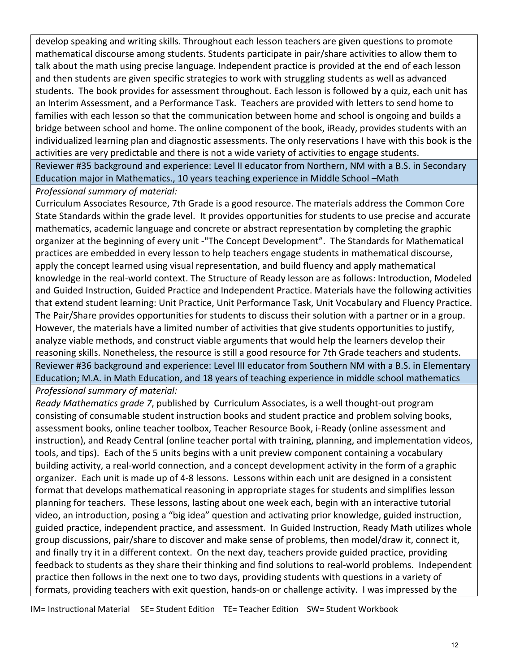develop speaking and writing skills. Throughout each lesson teachers are given questions to promote mathematical discourse among students. Students participate in pair/share activities to allow them to talk about the math using precise language. Independent practice is provided at the end of each lesson and then students are given specific strategies to work with struggling students as well as advanced students. The book provides for assessment throughout. Each lesson is followed by a quiz, each unit has an Interim Assessment, and a Performance Task. Teachers are provided with letters to send home to families with each lesson so that the communication between home and school is ongoing and builds a bridge between school and home. The online component of the book, iReady, provides students with an individualized learning plan and diagnostic assessments. The only reservations I have with this book is the activities are very predictable and there is not a wide variety of activities to engage students.

Reviewer #35 background and experience: Level II educator from Northern, NM with a B.S. in Secondary Education major in Mathematics., 10 years teaching experience in Middle School –Math

*Professional summary of material:*

Curriculum Associates Resource, 7th Grade is a good resource. The materials address the Common Core State Standards within the grade level. It provides opportunities for students to use precise and accurate mathematics, academic language and concrete or abstract representation by completing the graphic organizer at the beginning of every unit -"The Concept Development". The Standards for Mathematical practices are embedded in every lesson to help teachers engage students in mathematical discourse, apply the concept learned using visual representation, and build fluency and apply mathematical knowledge in the real-world context. The Structure of Ready lesson are as follows: Introduction, Modeled and Guided Instruction, Guided Practice and Independent Practice. Materials have the following activities that extend student learning: Unit Practice, Unit Performance Task, Unit Vocabulary and Fluency Practice. The Pair/Share provides opportunities for students to discuss their solution with a partner or in a group. However, the materials have a limited number of activities that give students opportunities to justify, analyze viable methods, and construct viable arguments that would help the learners develop their reasoning skills. Nonetheless, the resource is still a good resource for 7th Grade teachers and students. Reviewer #36 background and experience: Level III educator from Southern NM with a B.S. in Elementary Education; M.A. in Math Education, and 18 years of teaching experience in middle school mathematics *Professional summary of material:*

*Ready Mathematics grade 7*, published by Curriculum Associates, is a well thought-out program consisting of consumable student instruction books and student practice and problem solving books, assessment books, online teacher toolbox, Teacher Resource Book, i-Ready (online assessment and instruction), and Ready Central (online teacher portal with training, planning, and implementation videos, tools, and tips). Each of the 5 units begins with a unit preview component containing a vocabulary building activity, a real-world connection, and a concept development activity in the form of a graphic organizer. Each unit is made up of 4-8 lessons. Lessons within each unit are designed in a consistent format that develops mathematical reasoning in appropriate stages for students and simplifies lesson planning for teachers. These lessons, lasting about one week each, begin with an interactive tutorial video, an introduction, posing a "big idea" question and activating prior knowledge, guided instruction, guided practice, independent practice, and assessment. In Guided Instruction, Ready Math utilizes whole group discussions, pair/share to discover and make sense of problems, then model/draw it, connect it, and finally try it in a different context. On the next day, teachers provide guided practice, providing feedback to students as they share their thinking and find solutions to real-world problems. Independent practice then follows in the next one to two days, providing students with questions in a variety of formats, providing teachers with exit question, hands-on or challenge activity. I was impressed by the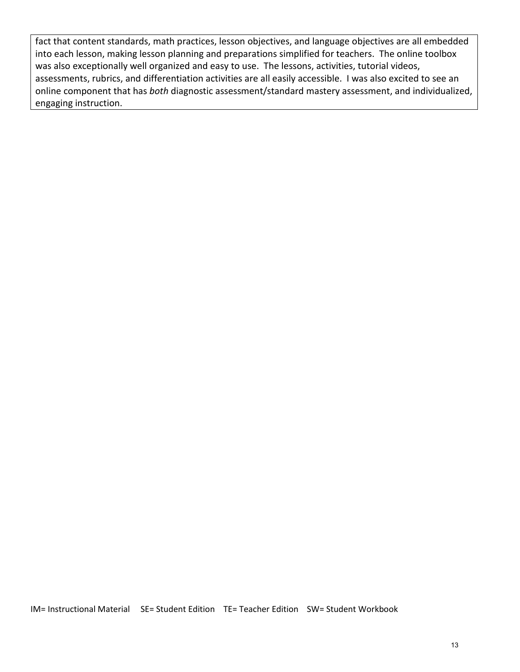fact that content standards, math practices, lesson objectives, and language objectives are all embedded into each lesson, making lesson planning and preparations simplified for teachers. The online toolbox was also exceptionally well organized and easy to use. The lessons, activities, tutorial videos, assessments, rubrics, and differentiation activities are all easily accessible. I was also excited to see an online component that has *both* diagnostic assessment/standard mastery assessment, and individualized, engaging instruction.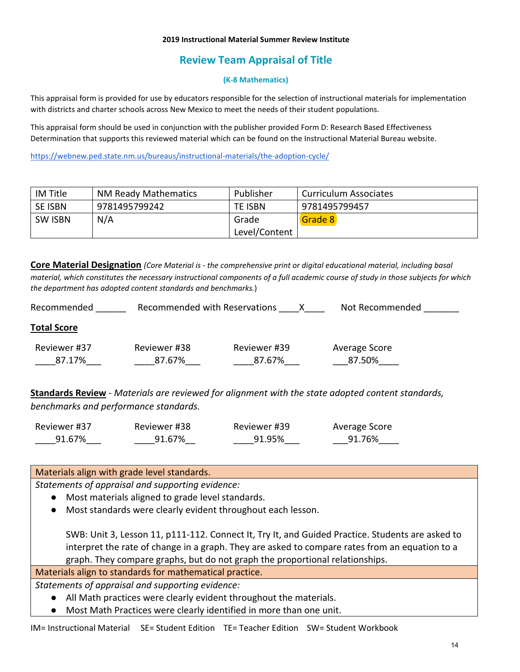#### **2019 Instructional Material Summer Review Institute**

# **Review Team Appraisal of Title**

#### **(K-8 Mathematics)**

This appraisal form is provided for use by educators responsible for the selection of instructional materials for implementation with districts and charter schools across New Mexico to meet the needs of their student populations.

This appraisal form should be used in conjunction with the publisher provided Form D: Research Based Effectiveness Determination that supports this reviewed material which can be found on the Instructional Material Bureau website.

<https://webnew.ped.state.nm.us/bureaus/instructional-materials/the-adoption-cycle/>

| IM Title       | <b>NM Ready Mathematics</b> | Publisher      | Curriculum Associates |
|----------------|-----------------------------|----------------|-----------------------|
| SE ISBN        | 9781495799242               | <b>TE ISBN</b> | 9781495799457         |
| <b>SW ISBN</b> | N/A                         | Grade          | Grade 8               |
|                |                             | Level/Content  |                       |

**Core Material Designation** *(Core Material is - the comprehensive print or digital educational material, including basal material, which constitutes the necessary instructional components of a full academic course of study in those subjects for which the department has adopted content standards and benchmarks.*)

| Recommended            | Recommended with Reservations |                        | Not Recommended         |
|------------------------|-------------------------------|------------------------|-------------------------|
| <b>Total Score</b>     |                               |                        |                         |
| Reviewer #37<br>87.17% | Reviewer #38<br>87.67%        | Reviewer #39<br>87.67% | Average Score<br>87.50% |

**Standards Review** - *Materials are reviewed for alignment with the state adopted content standards, benchmarks and performance standards.*

| Reviewer #37 | Reviewer #38 | Reviewer #39 | Average Score |
|--------------|--------------|--------------|---------------|
| 91.67%       | 91.67%       | 91.95%       | 91.76%        |

Materials align with grade level standards.

*Statements of appraisal and supporting evidence:*

- Most materials aligned to grade level standards.
- Most standards were clearly evident throughout each lesson.

SWB: Unit 3, Lesson 11, p111-112. Connect It, Try It, and Guided Practice. Students are asked to interpret the rate of change in a graph. They are asked to compare rates from an equation to a graph. They compare graphs, but do not graph the proportional relationships.

Materials align to standards for mathematical practice.

*Statements of appraisal and supporting evidence:*

- All Math practices were clearly evident throughout the materials.
- Most Math Practices were clearly identified in more than one unit.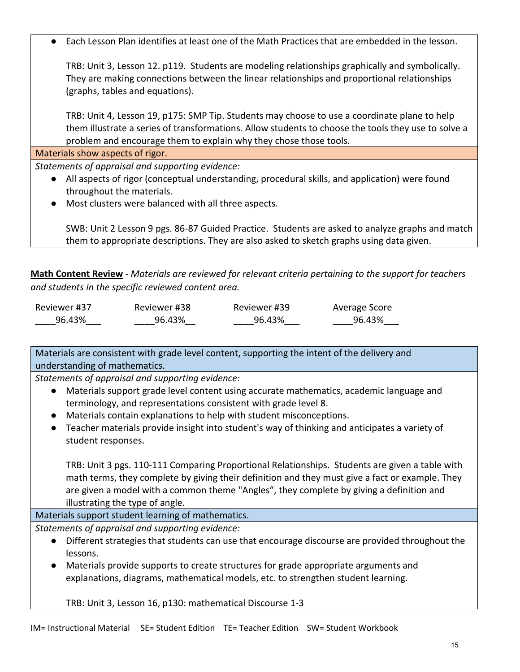● Each Lesson Plan identifies at least one of the Math Practices that are embedded in the lesson.

TRB: Unit 3, Lesson 12. p119. Students are modeling relationships graphically and symbolically. They are making connections between the linear relationships and proportional relationships (graphs, tables and equations).

TRB: Unit 4, Lesson 19, p175: SMP Tip. Students may choose to use a coordinate plane to help them illustrate a series of transformations. Allow students to choose the tools they use to solve a problem and encourage them to explain why they chose those tools.

Materials show aspects of rigor.

*Statements of appraisal and supporting evidence:*

- All aspects of rigor (conceptual understanding, procedural skills, and application) were found throughout the materials.
- Most clusters were balanced with all three aspects.

SWB: Unit 2 Lesson 9 pgs. 86-87 Guided Practice. Students are asked to analyze graphs and match them to appropriate descriptions. They are also asked to sketch graphs using data given.

**Math Content Review** - *Materials are reviewed for relevant criteria pertaining to the support for teachers and students in the specific reviewed content area.*

| Reviewer #37 | Reviewer #38 | Reviewer #39 | Average Score |
|--------------|--------------|--------------|---------------|
| 96.43%       | 96.43%       | 96.43%       | 96.43%        |

Materials are consistent with grade level content, supporting the intent of the delivery and understanding of mathematics.

*Statements of appraisal and supporting evidence:*

- Materials support grade level content using accurate mathematics, academic language and terminology, and representations consistent with grade level 8.
- Materials contain explanations to help with student misconceptions.
- Teacher materials provide insight into student's way of thinking and anticipates a variety of student responses.

TRB: Unit 3 pgs. 110-111 Comparing Proportional Relationships. Students are given a table with math terms, they complete by giving their definition and they must give a fact or example. They are given a model with a common theme "Angles", they complete by giving a definition and illustrating the type of angle.

Materials support student learning of mathematics.

*Statements of appraisal and supporting evidence:*

- Different strategies that students can use that encourage discourse are provided throughout the lessons.
- Materials provide supports to create structures for grade appropriate arguments and explanations, diagrams, mathematical models, etc. to strengthen student learning.

TRB: Unit 3, Lesson 16, p130: mathematical Discourse 1-3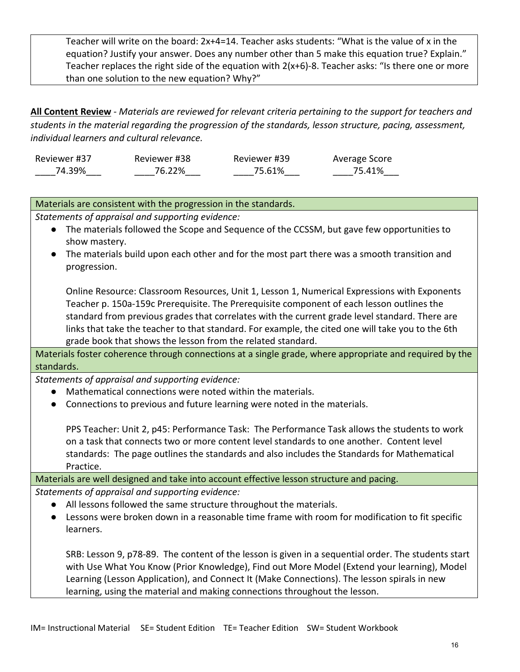Teacher will write on the board: 2x+4=14. Teacher asks students: "What is the value of x in the equation? Justify your answer. Does any number other than 5 make this equation true? Explain." Teacher replaces the right side of the equation with 2(x+6)-8. Teacher asks: "Is there one or more than one solution to the new equation? Why?"

**All Content Review** - *Materials are reviewed for relevant criteria pertaining to the support for teachers and students in the material regarding the progression of the standards, lesson structure, pacing, assessment, individual learners and cultural relevance.*

| Reviewer #37 | Reviewer #38 | Reviewer #39 | Average Score |
|--------------|--------------|--------------|---------------|
| 74.39%       | 76.22%       | 75.61%       | 75.41%        |

| Materials are consistent with the progression in the standards.                                                                                                                                    |  |  |
|----------------------------------------------------------------------------------------------------------------------------------------------------------------------------------------------------|--|--|
| Statements of appraisal and supporting evidence:                                                                                                                                                   |  |  |
| The materials followed the Scope and Sequence of the CCSSM, but gave few opportunities to<br>$\bullet$                                                                                             |  |  |
| show mastery.                                                                                                                                                                                      |  |  |
| The materials build upon each other and for the most part there was a smooth transition and                                                                                                        |  |  |
| progression.                                                                                                                                                                                       |  |  |
| Online Resource: Classroom Resources, Unit 1, Lesson 1, Numerical Expressions with Exponents                                                                                                       |  |  |
| Teacher p. 150a-159c Prerequisite. The Prerequisite component of each lesson outlines the                                                                                                          |  |  |
| standard from previous grades that correlates with the current grade level standard. There are                                                                                                     |  |  |
| links that take the teacher to that standard. For example, the cited one will take you to the 6th                                                                                                  |  |  |
| grade book that shows the lesson from the related standard.                                                                                                                                        |  |  |
| Materials foster coherence through connections at a single grade, where appropriate and required by the                                                                                            |  |  |
| standards.                                                                                                                                                                                         |  |  |
| Statements of appraisal and supporting evidence:                                                                                                                                                   |  |  |
| Mathematical connections were noted within the materials.<br>$\bullet$                                                                                                                             |  |  |
| Connections to previous and future learning were noted in the materials.<br>$\bullet$                                                                                                              |  |  |
| PPS Teacher: Unit 2, p45: Performance Task: The Performance Task allows the students to work                                                                                                       |  |  |
| on a task that connects two or more content level standards to one another. Content level                                                                                                          |  |  |
| standards: The page outlines the standards and also includes the Standards for Mathematical                                                                                                        |  |  |
| Practice.                                                                                                                                                                                          |  |  |
| Materials are well designed and take into account effective lesson structure and pacing.                                                                                                           |  |  |
| Statements of appraisal and supporting evidence:                                                                                                                                                   |  |  |
| All lessons followed the same structure throughout the materials.<br>$\bullet$                                                                                                                     |  |  |
| Lessons were broken down in a reasonable time frame with room for modification to fit specific                                                                                                     |  |  |
| learners.                                                                                                                                                                                          |  |  |
| SRB: Lesson 9, p78-89. The content of the lesson is given in a sequential order. The students start<br>with Use What You Know (Prior Knowledge), Find out More Model (Extend your learning), Model |  |  |
| Learning (Lesson Application), and Connect It (Make Connections). The lesson spirals in new                                                                                                        |  |  |

learning, using the material and making connections throughout the lesson.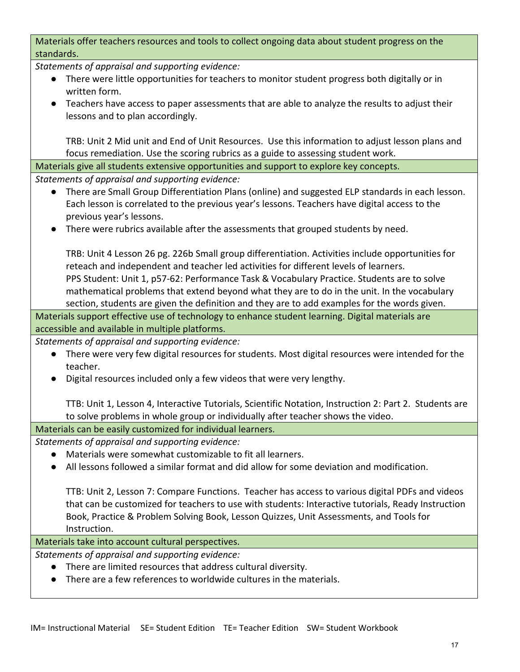Materials offer teachers resources and tools to collect ongoing data about student progress on the standards.

*Statements of appraisal and supporting evidence:*

- There were little opportunities for teachers to monitor student progress both digitally or in written form.
- Teachers have access to paper assessments that are able to analyze the results to adjust their lessons and to plan accordingly.

TRB: Unit 2 Mid unit and End of Unit Resources. Use this information to adjust lesson plans and focus remediation. Use the scoring rubrics as a guide to assessing student work.

Materials give all students extensive opportunities and support to explore key concepts.

*Statements of appraisal and supporting evidence:*

- There are Small Group Differentiation Plans (online) and suggested ELP standards in each lesson. Each lesson is correlated to the previous year's lessons. Teachers have digital access to the previous year's lessons.
- There were rubrics available after the assessments that grouped students by need.

TRB: Unit 4 Lesson 26 pg. 226b Small group differentiation. Activities include opportunities for reteach and independent and teacher led activities for different levels of learners. PPS Student: Unit 1, p57-62: Performance Task & Vocabulary Practice. Students are to solve mathematical problems that extend beyond what they are to do in the unit. In the vocabulary section, students are given the definition and they are to add examples for the words given.

Materials support effective use of technology to enhance student learning. Digital materials are accessible and available in multiple platforms.

*Statements of appraisal and supporting evidence:*

- There were very few digital resources for students. Most digital resources were intended for the teacher.
- Digital resources included only a few videos that were very lengthy.

TTB: Unit 1, Lesson 4, Interactive Tutorials, Scientific Notation, Instruction 2: Part 2. Students are to solve problems in whole group or individually after teacher shows the video.

Materials can be easily customized for individual learners.

*Statements of appraisal and supporting evidence:*

- Materials were somewhat customizable to fit all learners.
- All lessons followed a similar format and did allow for some deviation and modification.

TTB: Unit 2, Lesson 7: Compare Functions. Teacher has access to various digital PDFs and videos that can be customized for teachers to use with students: Interactive tutorials, Ready Instruction Book, Practice & Problem Solving Book, Lesson Quizzes, Unit Assessments, and Tools for Instruction.

Materials take into account cultural perspectives.

*Statements of appraisal and supporting evidence:*

- There are limited resources that address cultural diversity.
- There are a few references to worldwide cultures in the materials.